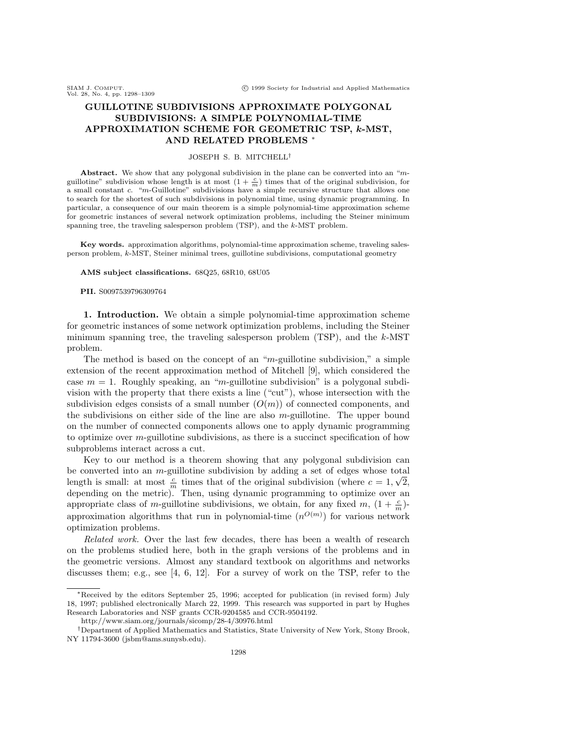# GUILLOTINE SUBDIVISIONS APPROXIMATE POLYGONAL SUBDIVISIONS: A SIMPLE POLYNOMIAL-TIME APPROXIMATION SCHEME FOR GEOMETRIC TSP, k-MST, AND RELATED PROBLEMS ∗

## JOSEPH S. B. MITCHELL†

Abstract. We show that any polygonal subdivision in the plane can be converted into an "mguillotine" subdivision whose length is at most  $(1 + \frac{c}{m})$  times that of the original subdivision, for a small constant c. "m-Guillotine" subdivisions have a simple recursive structure that allows one to search for the shortest of such subdivisions in polynomial time, using dynamic programming. In particular, a consequence of our main theorem is a simple polynomial-time approximation scheme for geometric instances of several network optimization problems, including the Steiner minimum spanning tree, the traveling salesperson problem (TSP), and the k-MST problem.

Key words. approximation algorithms, polynomial-time approximation scheme, traveling salesperson problem, k-MST, Steiner minimal trees, guillotine subdivisions, computational geometry

#### AMS subject classifications. 68Q25, 68R10, 68U05

### PII. S0097539796309764

1. Introduction. We obtain a simple polynomial-time approximation scheme for geometric instances of some network optimization problems, including the Steiner minimum spanning tree, the traveling salesperson problem (TSP), and the k-MST problem.

The method is based on the concept of an "m-guillotine subdivision," a simple extension of the recent approximation method of Mitchell [9], which considered the case  $m = 1$ . Roughly speaking, an "m-guillotine subdivision" is a polygonal subdivision with the property that there exists a line ("cut"), whose intersection with the subdivision edges consists of a small number  $(O(m))$  of connected components, and the subdivisions on either side of the line are also  $m$ -guillotine. The upper bound on the number of connected components allows one to apply dynamic programming to optimize over  $m$ -guillotine subdivisions, as there is a succinct specification of how subproblems interact across a cut.

Key to our method is a theorem showing that any polygonal subdivision can be converted into an m-guillotine subdivision by adding a set of edges whose total length is small: at most  $\frac{c}{m}$  times that of the original subdivision (where  $c = 1, \sqrt{2}$ , depending on the metric). Then, using dynamic programming to optimize over an appropriate class of m-guillotine subdivisions, we obtain, for any fixed m,  $(1 + \frac{c}{m})$ approximation algorithms that run in polynomial-time  $(n^{O(m)})$  for various network optimization problems.

Related work. Over the last few decades, there has been a wealth of research on the problems studied here, both in the graph versions of the problems and in the geometric versions. Almost any standard textbook on algorithms and networks discusses them; e.g., see [4, 6, 12]. For a survey of work on the TSP, refer to the

<sup>∗</sup>Received by the editors September 25, 1996; accepted for publication (in revised form) July 18, 1997; published electronically March 22, 1999. This research was supported in part by Hughes Research Laboratories and NSF grants CCR-9204585 and CCR-9504192.

http://www.siam.org/journals/sicomp/28-4/30976.html

<sup>†</sup>Department of Applied Mathematics and Statistics, State University of New York, Stony Brook, NY 11794-3600 (jsbm@ams.sunysb.edu).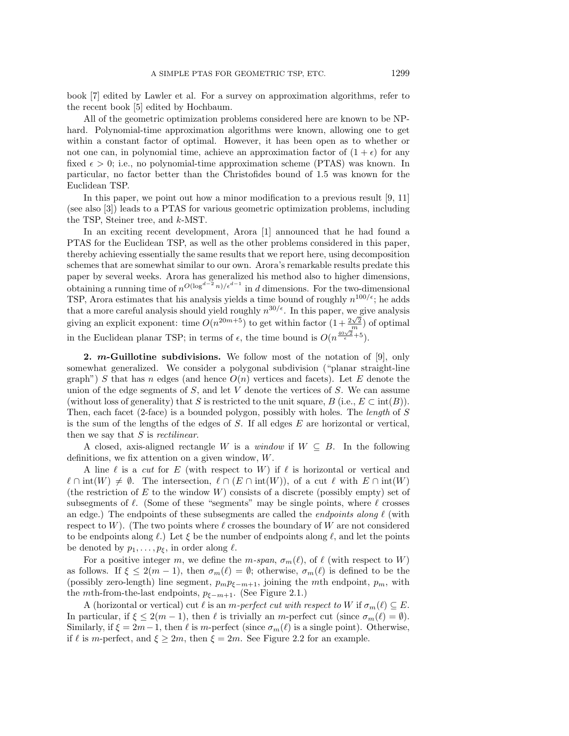book [7] edited by Lawler et al. For a survey on approximation algorithms, refer to the recent book [5] edited by Hochbaum.

All of the geometric optimization problems considered here are known to be NPhard. Polynomial-time approximation algorithms were known, allowing one to get within a constant factor of optimal. However, it has been open as to whether or not one can, in polynomial time, achieve an approximation factor of  $(1 + \epsilon)$  for any fixed  $\epsilon > 0$ ; i.e., no polynomial-time approximation scheme (PTAS) was known. In particular, no factor better than the Christofides bound of 1.5 was known for the Euclidean TSP.

In this paper, we point out how a minor modification to a previous result [9, 11] (see also [3]) leads to a PTAS for various geometric optimization problems, including the TSP, Steiner tree, and k-MST.

In an exciting recent development, Arora [1] announced that he had found a PTAS for the Euclidean TSP, as well as the other problems considered in this paper, thereby achieving essentially the same results that we report here, using decomposition schemes that are somewhat similar to our own. Arora's remarkable results predate this paper by several weeks. Arora has generalized his method also to higher dimensions, obtaining a running time of  $n^{O(\log^{d-2} n)/e^{d-1}}$  in d dimensions. For the two-dimensional TSP, Arora estimates that his analysis yields a time bound of roughly  $n^{100/\epsilon}$ ; he adds that a more careful analysis should yield roughly  $n^{30/\epsilon}$ . In this paper, we give analysis giving an explicit exponent: time  $O(n^{20m+5})$  to get within factor  $\left(1+\frac{2\sqrt{2}}{m}\right)$  of optimal in the Euclidean planar TSP; in terms of  $\epsilon$ , the time bound is  $O(n^{\frac{40\sqrt{2}}{\epsilon}+5})$ .

2.  $m$ -Guillotine subdivisions. We follow most of the notation of [9], only somewhat generalized. We consider a polygonal subdivision ("planar straight-line graph") S that has n edges (and hence  $O(n)$  vertices and facets). Let E denote the union of the edge segments of  $S$ , and let  $V$  denote the vertices of  $S$ . We can assume (without loss of generality) that S is restricted to the unit square, B (i.e.,  $E \subset \text{int}(B)$ ). Then, each facet (2-face) is a bounded polygon, possibly with holes. The length of S is the sum of the lengths of the edges of  $S$ . If all edges  $E$  are horizontal or vertical, then we say that  $S$  is *rectilinear*.

A closed, axis-aligned rectangle W is a window if  $W \subseteq B$ . In the following definitions, we fix attention on a given window, W.

A line  $\ell$  is a cut for E (with respect to W) if  $\ell$  is horizontal or vertical and  $\ell \cap \text{int}(W) \neq \emptyset$ . The intersection,  $\ell \cap (E \cap \text{int}(W))$ , of a cut  $\ell$  with  $E \cap \text{int}(W)$ (the restriction of E to the window  $W$ ) consists of a discrete (possibly empty) set of subsegments of  $\ell$ . (Some of these "segments" may be single points, where  $\ell$  crosses an edge.) The endpoints of these subsegments are called the *endpoints along*  $\ell$  (with respect to W). (The two points where  $\ell$  crosses the boundary of W are not considered to be endpoints along  $\ell$ .) Let  $\xi$  be the number of endpoints along  $\ell$ , and let the points be denoted by  $p_1, \ldots, p_{\xi}$ , in order along  $\ell$ .

For a positive integer m, we define the m-span,  $\sigma_m(\ell)$ , of  $\ell$  (with respect to W) as follows. If  $\xi \leq 2(m-1)$ , then  $\sigma_m(\ell) = \emptyset$ ; otherwise,  $\sigma_m(\ell)$  is defined to be the (possibly zero-length) line segment,  $p_m p_{\xi-m+1}$ , joining the mth endpoint,  $p_m$ , with the *m*th-from-the-last endpoints,  $p_{\xi-m+1}$ . (See Figure 2.1.)

A (horizontal or vertical) cut  $\ell$  is an m-perfect cut with respect to W if  $\sigma_m(\ell) \subseteq E$ . In particular, if  $\xi \leq 2(m-1)$ , then  $\ell$  is trivially an m-perfect cut (since  $\sigma_m(\ell) = \emptyset$ ). Similarly, if  $\xi = 2m-1$ , then  $\ell$  is m-perfect (since  $\sigma_m(\ell)$  is a single point). Otherwise, if  $\ell$  is m-perfect, and  $\xi \geq 2m$ , then  $\xi = 2m$ . See Figure 2.2 for an example.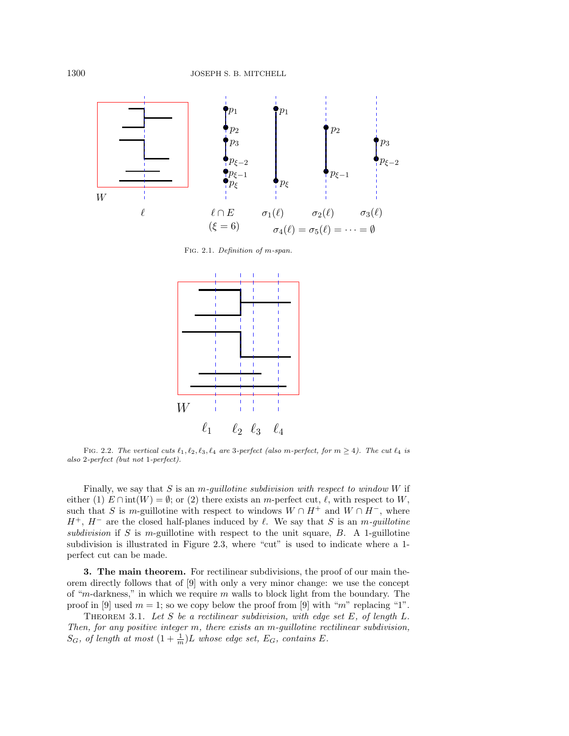

Fig. 2.1. Definition of m-span.



FIG. 2.2. The vertical cuts  $\ell_1, \ell_2, \ell_3, \ell_4$  are 3-perfect (also m-perfect, for  $m \geq 4$ ). The cut  $\ell_4$  is also 2-perfect (but not 1-perfect).

Finally, we say that S is an m-quillotine subdivision with respect to window  $W$  if either (1)  $E \cap \text{int}(W) = \emptyset$ ; or (2) there exists an m-perfect cut,  $\ell$ , with respect to W, such that S is m-guillotine with respect to windows  $W \cap H^+$  and  $W \cap H^-$ , where  $H^+$ ,  $H^-$  are the closed half-planes induced by  $\ell$ . We say that S is an m-guillotine subdivision if S is m-guillotine with respect to the unit square,  $B$ . A 1-guillotine subdivision is illustrated in Figure 2.3, where "cut" is used to indicate where a 1 perfect cut can be made.

3. The main theorem. For rectilinear subdivisions, the proof of our main theorem directly follows that of [9] with only a very minor change: we use the concept of "m-darkness," in which we require  $m$  walls to block light from the boundary. The proof in [9] used  $m = 1$ ; so we copy below the proof from [9] with "m" replacing "1".

THEOREM 3.1. Let S be a rectilinear subdivision, with edge set E, of length L. Then, for any positive integer m, there exists an m-guillotine rectilinear subdivision,  $S_G$ , of length at most  $(1+\frac{1}{m})L$  whose edge set,  $E_G$ , contains E.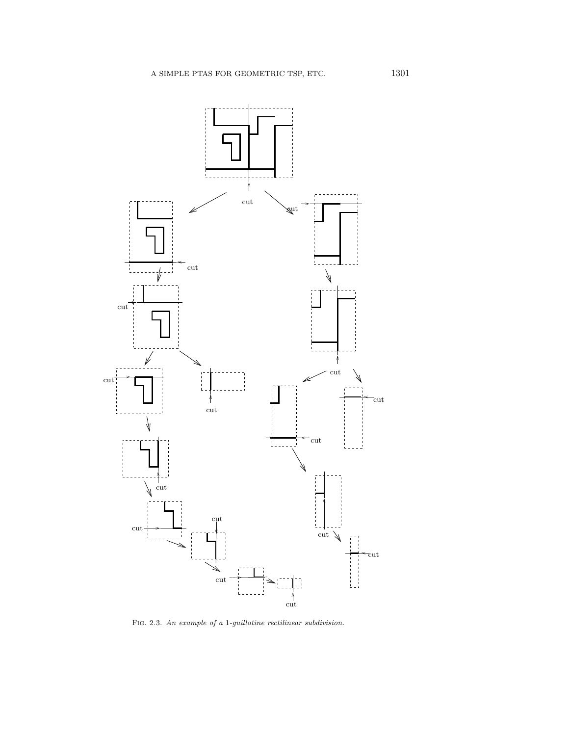

Fig. 2.3. An example of a 1-guillotine rectilinear subdivision.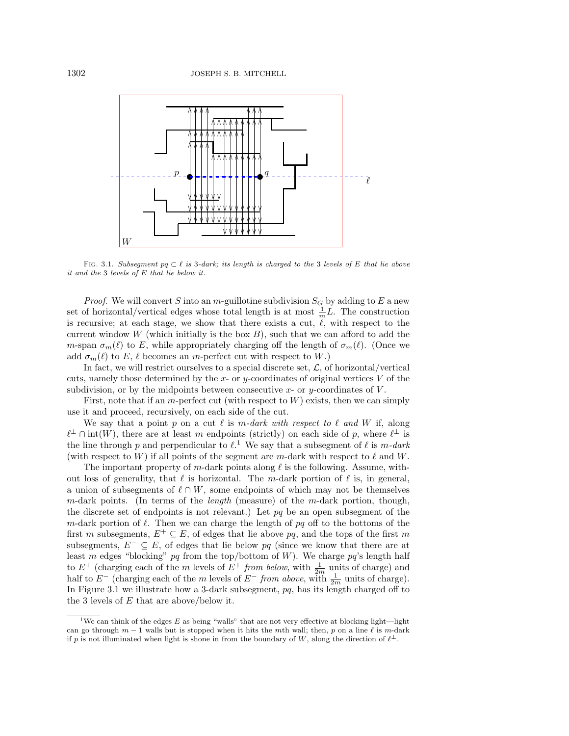

FIG. 3.1. Subsegment pq  $\subset \ell$  is 3-dark; its length is charged to the 3 levels of E that lie above it and the 3 levels of E that lie below it.

*Proof.* We will convert S into an  $m$ -guillotine subdivision  $S_G$  by adding to E a new set of horizontal/vertical edges whose total length is at most  $\frac{1}{m}L$ . The construction is recursive; at each stage, we show that there exists a cut,  $\ell$ , with respect to the current window  $W$  (which initially is the box  $B$ ), such that we can afford to add the m-span  $\sigma_m(\ell)$  to E, while appropriately charging off the length of  $\sigma_m(\ell)$ . (Once we add  $\sigma_m(\ell)$  to E,  $\ell$  becomes an m-perfect cut with respect to W.)

In fact, we will restrict ourselves to a special discrete set,  $\mathcal{L}$ , of horizontal/vertical cuts, namely those determined by the  $x$ - or  $y$ -coordinates of original vertices  $V$  of the subdivision, or by the midpoints between consecutive x- or y-coordinates of  $V$ .

First, note that if an m-perfect cut (with respect to  $W$ ) exists, then we can simply use it and proceed, recursively, on each side of the cut.

We say that a point p on a cut  $\ell$  is m-dark with respect to  $\ell$  and W if, along  $\ell^{\perp} \cap \text{int}(W)$ , there are at least m endpoints (strictly) on each side of p, where  $\ell^{\perp}$  is the line through p and perpendicular to  $\ell$ .<sup>1</sup> We say that a subsegment of  $\ell$  is m-dark (with respect to W) if all points of the segment are m-dark with respect to  $\ell$  and W.

The important property of m-dark points along  $\ell$  is the following. Assume, without loss of generality, that  $\ell$  is horizontal. The m-dark portion of  $\ell$  is, in general, a union of subsegments of  $\ell \cap W$ , some endpoints of which may not be themselves  $m$ -dark points. (In terms of the *length* (measure) of the  $m$ -dark portion, though, the discrete set of endpoints is not relevant.) Let  $pq$  be an open subsegment of the m-dark portion of  $\ell$ . Then we can charge the length of pq off to the bottoms of the first m subsegments,  $E^+ \subseteq E$ , of edges that lie above pq, and the tops of the first m subsegments,  $E^- \subseteq E$ , of edges that lie below pq (since we know that there are at least m edges "blocking" pq from the top/bottom of W). We charge pq's length half to  $E^+$  (charging each of the m levels of  $E^+$  from below, with  $\frac{1}{2m}$  units of charge) and half to  $E^-$  (charging each of the m levels of  $E^-$  from above, with  $\frac{1}{2m}$  units of charge). In Figure 3.1 we illustrate how a 3-dark subsegment,  $pq$ , has its length charged off to the 3 levels of  $E$  that are above/below it.

<sup>&</sup>lt;sup>1</sup>We can think of the edges E as being "walls" that are not very effective at blocking light—light can go through  $m-1$  walls but is stopped when it hits the mth wall; then, p on a line  $\ell$  is m-dark if p is not illuminated when light is shone in from the boundary of W, along the direction of  $\ell^{\perp}$ .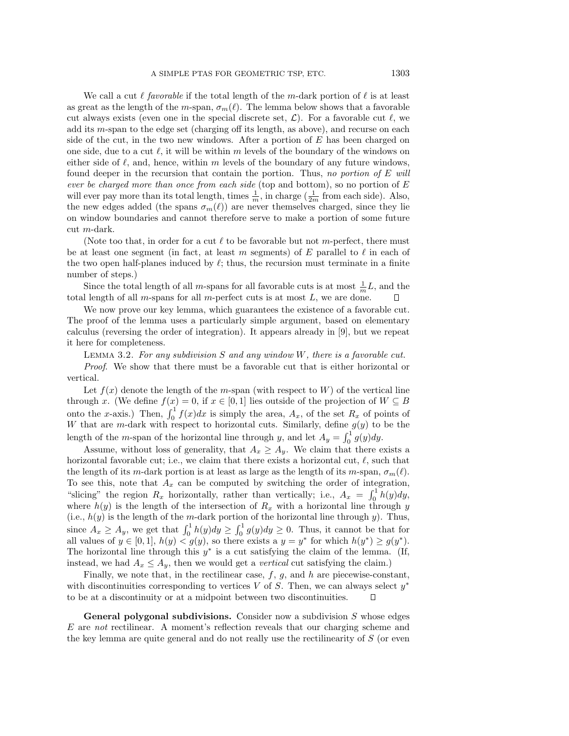We call a cut  $\ell$  favorable if the total length of the m-dark portion of  $\ell$  is at least as great as the length of the m-span,  $\sigma_m(\ell)$ . The lemma below shows that a favorable cut always exists (even one in the special discrete set,  $\mathcal{L}$ ). For a favorable cut  $\ell$ , we add its m-span to the edge set (charging off its length, as above), and recurse on each side of the cut, in the two new windows. After a portion of  $E$  has been charged on one side, due to a cut  $\ell$ , it will be within m levels of the boundary of the windows on either side of  $\ell$ , and, hence, within m levels of the boundary of any future windows, found deeper in the recursion that contain the portion. Thus, no portion of  $E$  will ever be charged more than once from each side (top and bottom), so no portion of  $E$ will ever pay more than its total length, times  $\frac{1}{m}$ , in charge  $(\frac{1}{2m}$  from each side). Also, the new edges added (the spans  $\sigma_m(\ell)$ ) are never themselves charged, since they lie on window boundaries and cannot therefore serve to make a portion of some future cut m-dark.

(Note too that, in order for a cut  $\ell$  to be favorable but not m-perfect, there must be at least one segment (in fact, at least m segments) of E parallel to  $\ell$  in each of the two open half-planes induced by  $\ell$ ; thus, the recursion must terminate in a finite number of steps.)

Since the total length of all m-spans for all favorable cuts is at most  $\frac{1}{m}L$ , and the total length of all  $m$ -spans for all  $m$ -perfect cuts is at most  $L$ , we are done.

We now prove our key lemma, which guarantees the existence of a favorable cut. The proof of the lemma uses a particularly simple argument, based on elementary calculus (reversing the order of integration). It appears already in [9], but we repeat it here for completeness.

LEMMA 3.2. For any subdivision S and any window W, there is a favorable cut. Proof. We show that there must be a favorable cut that is either horizontal or vertical.

Let  $f(x)$  denote the length of the m-span (with respect to W) of the vertical line through x. (We define  $f(x) = 0$ , if  $x \in [0,1]$  lies outside of the projection of  $W \subseteq B$ onto the x-axis.) Then,  $\int_0^1 f(x)dx$  is simply the area,  $A_x$ , of the set  $R_x$  of points of W that are m-dark with respect to horizontal cuts. Similarly, define  $g(y)$  to be the length of the m-span of the horizontal line through y, and let  $A_y = \int_0^1 g(y) dy$ .

Assume, without loss of generality, that  $A_x \geq A_y$ . We claim that there exists a horizontal favorable cut; i.e., we claim that there exists a horizontal cut,  $\ell$ , such that the length of its m-dark portion is at least as large as the length of its m-span,  $\sigma_m(\ell)$ . To see this, note that  $A_x$  can be computed by switching the order of integration, "slicing" the region  $R_x$  horizontally, rather than vertically; i.e.,  $A_x = \int_0^1 h(y) dy$ , where  $h(y)$  is the length of the intersection of  $R_x$  with a horizontal line through y (i.e.,  $h(y)$  is the length of the m-dark portion of the horizontal line through y). Thus, since  $A_x \ge A_y$ , we get that  $\int_0^1 h(y) dy \ge \int_0^1 g(y) dy \ge 0$ . Thus, it cannot be that for all values of  $y \in [0,1]$ ,  $h(y) < g(y)$ , so there exists a  $y = y^*$  for which  $h(y^*) \ge g(y^*)$ . The horizontal line through this  $y^*$  is a cut satisfying the claim of the lemma. (If, instead, we had  $A_x \leq A_y$ , then we would get a *vertical* cut satisfying the claim.)

Finally, we note that, in the rectilinear case,  $f$ ,  $g$ , and  $h$  are piecewise-constant, with discontinuities corresponding to vertices V of S. Then, we can always select  $y^*$ to be at a discontinuity or at a midpoint between two discontinuities.

**General polygonal subdivisions.** Consider now a subdivision  $S$  whose edges  $E$  are not rectilinear. A moment's reflection reveals that our charging scheme and the key lemma are quite general and do not really use the rectilinearity of S (or even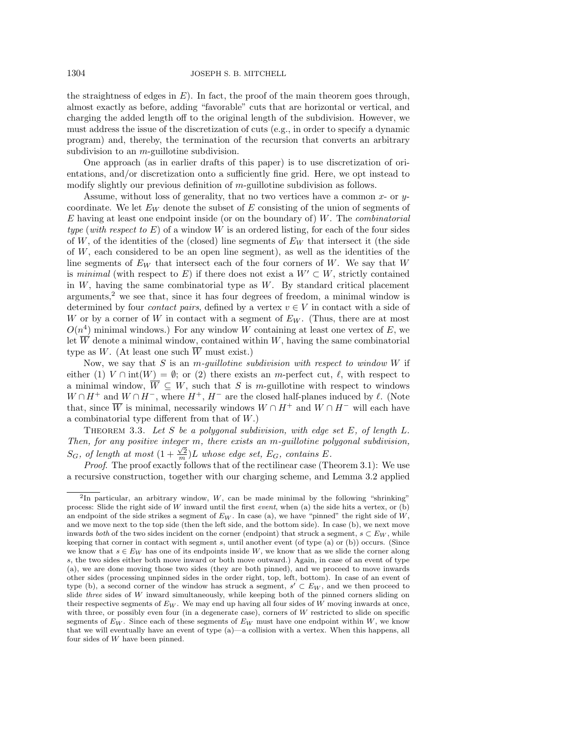the straightness of edges in  $E$ ). In fact, the proof of the main theorem goes through, almost exactly as before, adding "favorable" cuts that are horizontal or vertical, and charging the added length off to the original length of the subdivision. However, we must address the issue of the discretization of cuts (e.g., in order to specify a dynamic program) and, thereby, the termination of the recursion that converts an arbitrary subdivision to an  $m$ -guillotine subdivision.

One approach (as in earlier drafts of this paper) is to use discretization of orientations, and/or discretization onto a sufficiently fine grid. Here, we opt instead to modify slightly our previous definition of m-guillotine subdivision as follows.

Assume, without loss of generality, that no two vertices have a common  $x$ - or  $y$ coordinate. We let  $E_W$  denote the subset of E consisting of the union of segments of  $E$  having at least one endpoint inside (or on the boundary of)  $W$ . The *combinatorial* type (with respect to  $E$ ) of a window W is an ordered listing, for each of the four sides of W, of the identities of the (closed) line segments of  $E_W$  that intersect it (the side of  $W$ , each considered to be an open line segment), as well as the identities of the line segments of  $E_W$  that intersect each of the four corners of W. We say that W is minimal (with respect to E) if there does not exist a  $W' \subset W$ , strictly contained in  $W$ , having the same combinatorial type as  $W$ . By standard critical placement arguments, $2$  we see that, since it has four degrees of freedom, a minimal window is determined by four *contact pairs*, defined by a vertex  $v \in V$  in contact with a side of W or by a corner of W in contact with a segment of  $E_W$ . (Thus, there are at most  $O(n^4)$  minimal windows.) For any window W containing at least one vertex of E, we let  $\overline{W}$  denote a minimal window, contained within W, having the same combinatorial type as W. (At least one such  $\overline{W}$  must exist.)

Now, we say that S is an *m*-quillotine subdivision with respect to window W if either (1)  $V \cap \text{int}(W) = \emptyset$ ; or (2) there exists an m-perfect cut,  $\ell$ , with respect to a minimal window,  $\overline{W} \subseteq W$ , such that S is m-guillotine with respect to windows  $W \cap H^+$  and  $W \cap H^-$ , where  $H^+$ ,  $H^-$  are the closed half-planes induced by  $\ell$ . (Note that, since W is minimal, necessarily windows  $W \cap H^+$  and  $W \cap H^-$  will each have a combinatorial type different from that of  $W$ .)

THEOREM 3.3. Let S be a polygonal subdivision, with edge set  $E$ , of length  $L$ . Then, for any positive integer m, there exists an m-guillotine polygonal subdivision,  $S_G$ , of length at most  $(1 + \frac{\sqrt{2}}{m})L$  whose edge set,  $E_G$ , contains E.

Proof. The proof exactly follows that of the rectilinear case (Theorem 3.1): We use a recursive construction, together with our charging scheme, and Lemma 3.2 applied

<sup>&</sup>lt;sup>2</sup>In particular, an arbitrary window,  $W$ , can be made minimal by the following "shrinking" process: Slide the right side of  $W$  inward until the first *event*, when (a) the side hits a vertex, or (b) an endpoint of the side strikes a segment of  $E_W$ . In case (a), we have "pinned" the right side of  $W$ , and we move next to the top side (then the left side, and the bottom side). In case (b), we next move inwards both of the two sides incident on the corner (endpoint) that struck a segment,  $s \subset E_W$ , while keeping that corner in contact with segment s, until another event (of type (a) or (b)) occurs. (Since we know that  $s \in E_W$  has one of its endpoints inside W, we know that as we slide the corner along s, the two sides either both move inward or both move outward.) Again, in case of an event of type (a), we are done moving those two sides (they are both pinned), and we proceed to move inwards other sides (processing unpinned sides in the order right, top, left, bottom). In case of an event of type (b), a second corner of the window has struck a segment,  $s' \subset E_W$ , and we then proceed to slide three sides of  $W$  inward simultaneously, while keeping both of the pinned corners sliding on their respective segments of  $E_W$ . We may end up having all four sides of W moving inwards at once, with three, or possibly even four (in a degenerate case), corners of W restricted to slide on specific segments of  $E_W$ . Since each of these segments of  $E_W$  must have one endpoint within W, we know that we will eventually have an event of type (a)—a collision with a vertex. When this happens, all four sides of W have been pinned.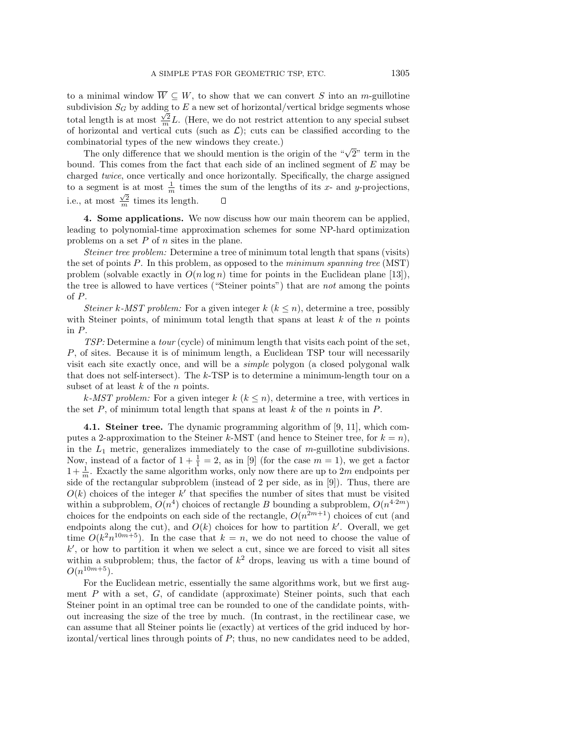to a minimal window  $\overline{W} \subseteq W$ , to show that we can convert S into an m-guillotine subdivision  $S_G$  by adding to  $E$  a new set of horizontal/vertical bridge segments whose total length is at most  $\frac{\sqrt{2}}{m}L$ . (Here, we do not restrict attention to any special subset of horizontal and vertical cuts (such as  $\mathcal{L}$ ); cuts can be classified according to the combinatorial types of the new windows they create.)

The only difference that we should mention is the origin of the " $\sqrt{2}$ " term in the bound. This comes from the fact that each side of an inclined segment of  $E$  may be charged twice, once vertically and once horizontally. Specifically, the charge assigned to a segment is at most  $\frac{1}{m}$  times the sum of the lengths of its x- and y-projections, i.e., at most  $\frac{\sqrt{2}}{m}$  times its length.  $\Box$ 

4. Some applications. We now discuss how our main theorem can be applied, leading to polynomial-time approximation schemes for some NP-hard optimization problems on a set  $P$  of  $n$  sites in the plane.

Steiner tree problem: Determine a tree of minimum total length that spans (visits) the set of points  $P$ . In this problem, as opposed to the *minimum spanning tree* (MST) problem (solvable exactly in  $O(n \log n)$ ) time for points in the Euclidean plane [13]), the tree is allowed to have vertices ("Steiner points") that are not among the points of P.

Steiner k-MST problem: For a given integer  $k$   $(k \leq n)$ , determine a tree, possibly with Steiner points, of minimum total length that spans at least  $k$  of the  $n$  points in P.

TSP: Determine a tour (cycle) of minimum length that visits each point of the set, P, of sites. Because it is of minimum length, a Euclidean TSP tour will necessarily visit each site exactly once, and will be a simple polygon (a closed polygonal walk that does not self-intersect). The  $k$ -TSP is to determine a minimum-length tour on a subset of at least  $k$  of the  $n$  points.

k-MST problem: For a given integer  $k$   $(k \leq n)$ , determine a tree, with vertices in the set  $P$ , of minimum total length that spans at least  $k$  of the n points in  $P$ .

4.1. Steiner tree. The dynamic programming algorithm of [9, 11], which computes a 2-approximation to the Steiner k-MST (and hence to Steiner tree, for  $k = n$ ), in the  $L_1$  metric, generalizes immediately to the case of m-guillotine subdivisions. Now, instead of a factor of  $1 + \frac{1}{1} = 2$ , as in [9] (for the case  $m = 1$ ), we get a factor  $1+\frac{1}{m}$ . Exactly the same algorithm works, only now there are up to 2m endpoints per side of the rectangular subproblem (instead of 2 per side, as in [9]). Thus, there are  $O(k)$  choices of the integer k' that specifies the number of sites that must be visited within a subproblem,  $O(n^4)$  choices of rectangle B bounding a subproblem,  $O(n^{4\cdot 2m})$ choices for the endpoints on each side of the rectangle,  $O(n^{2m+1})$  choices of cut (and endpoints along the cut), and  $O(k)$  choices for how to partition k'. Overall, we get time  $O(k^2n^{10m+5})$ . In the case that  $k = n$ , we do not need to choose the value of  $k'$ , or how to partition it when we select a cut, since we are forced to visit all sites within a subproblem; thus, the factor of  $k^2$  drops, leaving us with a time bound of  $O(n^{10m+5})$ .

For the Euclidean metric, essentially the same algorithms work, but we first augment  $P$  with a set,  $G$ , of candidate (approximate) Steiner points, such that each Steiner point in an optimal tree can be rounded to one of the candidate points, without increasing the size of the tree by much. (In contrast, in the rectilinear case, we can assume that all Steiner points lie (exactly) at vertices of the grid induced by horizontal/vertical lines through points of  $P$ ; thus, no new candidates need to be added,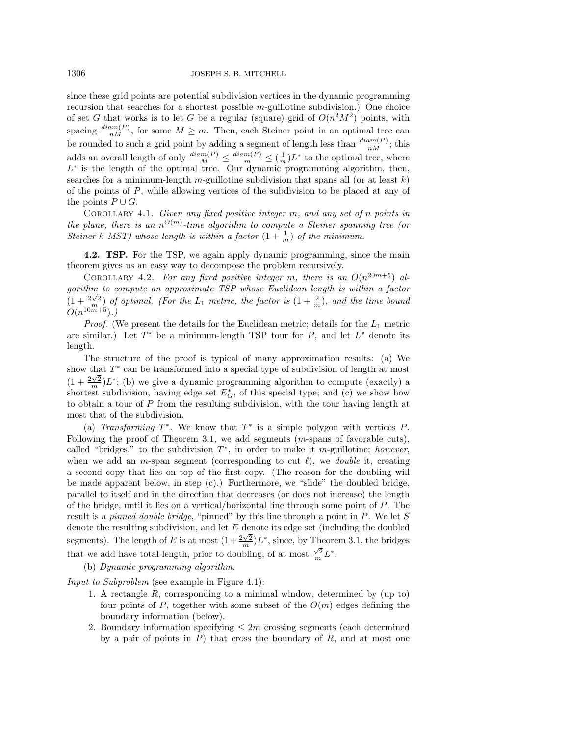1306 JOSEPH S. B. MITCHELL

since these grid points are potential subdivision vertices in the dynamic programming recursion that searches for a shortest possible m-guillotine subdivision.) One choice of set G that works is to let G be a regular (square) grid of  $O(n^2M^2)$  points, with spacing  $\frac{diam(P)}{nM}$ , for some  $M \geq m$ . Then, each Steiner point in an optimal tree can be rounded to such a grid point by adding a segment of length less than  $\frac{diam(P)}{nM}$ ; this adds an overall length of only  $\frac{diam(P)}{M} \leq \frac{diam(P)}{m} \leq (\frac{1}{m})L^*$  to the optimal tree, where  $L^*$  is the length of the optimal tree. Our dynamic programming algorithm, then, searches for a minimum-length m-guillotine subdivision that spans all (or at least  $k$ ) of the points of  $P$ , while allowing vertices of the subdivision to be placed at any of the points  $P \cup G$ .

COROLLARY 4.1. Given any fixed positive integer  $m$ , and any set of n points in the plane, there is an  $n^{O(m)}$ -time algorithm to compute a Steiner spanning tree (or Steiner k-MST) whose length is within a factor  $(1 + \frac{1}{m})$  of the minimum.

4.2. TSP. For the TSP, we again apply dynamic programming, since the main theorem gives us an easy way to decompose the problem recursively.

COROLLARY 4.2. For any fixed positive integer m, there is an  $O(n^{20m+5})$  algorithm to compute an approximate TSP whose Euclidean length is within a factor  $(1+\frac{2\sqrt{2}}{\alpha^m})$  of optimal. (For the  $L_1$  metric, the factor is  $(1+\frac{2}{m})$ , and the time bound  $O(n^{10m+5})$ .)

*Proof.* (We present the details for the Euclidean metric; details for the  $L_1$  metric are similar.) Let  $T^*$  be a minimum-length TSP tour for  $P$ , and let  $L^*$  denote its length.

The structure of the proof is typical of many approximation results: (a) We show that  $T^*$  can be transformed into a special type of subdivision of length at most  $(1+\frac{2\sqrt{2}}{m})L^*$ ; (b) we give a dynamic programming algorithm to compute (exactly) a shortest subdivision, having edge set  $E_G^*$ , of this special type; and (c) we show how to obtain a tour of P from the resulting subdivision, with the tour having length at most that of the subdivision.

(a) Transforming  $T^*$ . We know that  $T^*$  is a simple polygon with vertices P. Following the proof of Theorem 3.1, we add segments  $(m$ -spans of favorable cuts), called "bridges," to the subdivision  $T^*$ , in order to make it m-guillotine; however, when we add an m-span segment (corresponding to cut  $\ell$ ), we *double* it, creating a second copy that lies on top of the first copy. (The reason for the doubling will be made apparent below, in step (c).) Furthermore, we "slide" the doubled bridge, parallel to itself and in the direction that decreases (or does not increase) the length of the bridge, until it lies on a vertical/horizontal line through some point of P. The result is a *pinned double bridge*, "pinned" by this line through a point in P. We let S denote the resulting subdivision, and let  $E$  denote its edge set (including the doubled segments). The length of E is at most  $\left(1+\frac{2\sqrt{2}}{m}\right)L^*$ , since, by Theorem 3.1, the bridges that we add have total length, prior to doubling, of at most  $\frac{\sqrt{2}}{m}L^*$ .

(b) Dynamic programming algorithm.

Input to Subproblem (see example in Figure 4.1):

- 1. A rectangle R, corresponding to a minimal window, determined by (up to) four points of P, together with some subset of the  $O(m)$  edges defining the boundary information (below).
- 2. Boundary information specifying  $\leq 2m$  crossing segments (each determined by a pair of points in  $P$ ) that cross the boundary of  $R$ , and at most one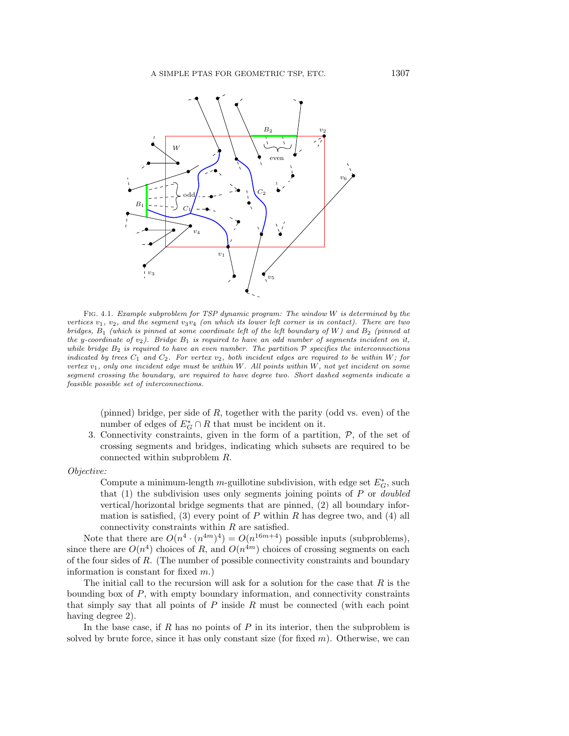

Fig. 4.1. Example subproblem for TSP dynamic program: The window W is determined by the vertices  $v_1, v_2$ , and the segment  $v_3v_4$  (on which its lower left corner is in contact). There are two bridges,  $B_1$  (which is pinned at some coordinate left of the left boundary of W) and  $B_2$  (pinned at the y-coordinate of  $v_2$ ). Bridge  $B_1$  is required to have an odd number of segments incident on it, while bridge  $B_2$  is required to have an even number. The partition  $P$  specifies the interconnections indicated by trees  $C_1$  and  $C_2$ . For vertex  $v_2$ , both incident edges are required to be within W; for vertex  $v_1$ , only one incident edge must be within W. All points within W, not yet incident on some segment crossing the boundary, are required to have degree two. Short dashed segments indicate a feasible possible set of interconnections.

(pinned) bridge, per side of  $R$ , together with the parity (odd vs. even) of the number of edges of  $E_G^* \cap R$  that must be incident on it.

3. Connectivity constraints, given in the form of a partition,  $P$ , of the set of crossing segments and bridges, indicating which subsets are required to be connected within subproblem R.

Objective:

Compute a minimum-length  $m$ -guillotine subdivision, with edge set  $E_G^*$ , such that  $(1)$  the subdivision uses only segments joining points of P or *doubled* vertical/horizontal bridge segments that are pinned, (2) all boundary information is satisfied, (3) every point of  $P$  within  $R$  has degree two, and (4) all connectivity constraints within R are satisfied.

Note that there are  $O(n^4 \cdot (n^{4m})^4) = O(n^{16m+4})$  possible inputs (subproblems), since there are  $O(n^4)$  choices of R, and  $O(n^{4m})$  choices of crossing segments on each of the four sides of R. (The number of possible connectivity constraints and boundary information is constant for fixed m.)

The initial call to the recursion will ask for a solution for the case that  $R$  is the bounding box of  $P$ , with empty boundary information, and connectivity constraints that simply say that all points of  $P$  inside  $R$  must be connected (with each point having degree 2).

In the base case, if R has no points of P in its interior, then the subproblem is solved by brute force, since it has only constant size (for fixed  $m$ ). Otherwise, we can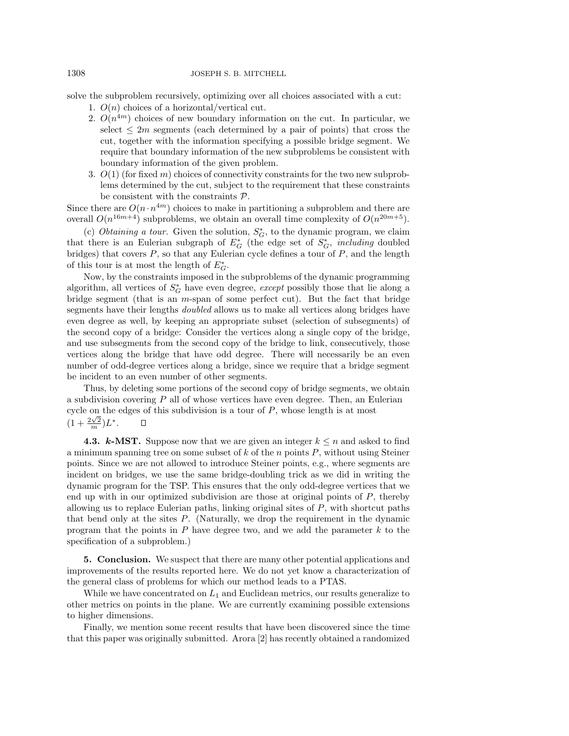solve the subproblem recursively, optimizing over all choices associated with a cut:

- 1.  $O(n)$  choices of a horizontal/vertical cut.
- 2.  $O(n^{4m})$  choices of new boundary information on the cut. In particular, we select  $\leq 2m$  segments (each determined by a pair of points) that cross the cut, together with the information specifying a possible bridge segment. We require that boundary information of the new subproblems be consistent with boundary information of the given problem.
- 3.  $O(1)$  (for fixed m) choices of connectivity constraints for the two new subproblems determined by the cut, subject to the requirement that these constraints be consistent with the constraints P.

Since there are  $O(n \cdot n^{4m})$  choices to make in partitioning a subproblem and there are overall  $O(n^{16m+4})$  subproblems, we obtain an overall time complexity of  $O(n^{20m+5})$ .

(c) *Obtaining a tour.* Given the solution,  $S_G^*$ , to the dynamic program, we claim that there is an Eulerian subgraph of  $E_G^*$  (the edge set of  $S_G^*$ , *including* doubled bridges) that covers  $P$ , so that any Eulerian cycle defines a tour of  $P$ , and the length of this tour is at most the length of  $E_G^*$ .

Now, by the constraints imposed in the subproblems of the dynamic programming algorithm, all vertices of  $S_G^*$  have even degree, *except* possibly those that lie along a bridge segment (that is an m-span of some perfect cut). But the fact that bridge segments have their lengths *doubled* allows us to make all vertices along bridges have even degree as well, by keeping an appropriate subset (selection of subsegments) of the second copy of a bridge: Consider the vertices along a single copy of the bridge, and use subsegments from the second copy of the bridge to link, consecutively, those vertices along the bridge that have odd degree. There will necessarily be an even number of odd-degree vertices along a bridge, since we require that a bridge segment be incident to an even number of other segments.

Thus, by deleting some portions of the second copy of bridge segments, we obtain a subdivision covering  $P$  all of whose vertices have even degree. Then, an Eulerian cycle on the edges of this subdivision is a tour of  $P$ , whose length is at most  $(1 + \frac{2\sqrt{2}}{m})L^*$ .  $\Box$ 

**4.3. k-MST.** Suppose now that we are given an integer  $k \leq n$  and asked to find a minimum spanning tree on some subset of  $k$  of the n points  $P$ , without using Steiner points. Since we are not allowed to introduce Steiner points, e.g., where segments are incident on bridges, we use the same bridge-doubling trick as we did in writing the dynamic program for the TSP. This ensures that the only odd-degree vertices that we end up with in our optimized subdivision are those at original points of  $P$ , thereby allowing us to replace Eulerian paths, linking original sites of P, with shortcut paths that bend only at the sites  $P$ . (Naturally, we drop the requirement in the dynamic program that the points in  $P$  have degree two, and we add the parameter  $k$  to the specification of a subproblem.)

5. Conclusion. We suspect that there are many other potential applications and improvements of the results reported here. We do not yet know a characterization of the general class of problems for which our method leads to a PTAS.

While we have concentrated on  $L_1$  and Euclidean metrics, our results generalize to other metrics on points in the plane. We are currently examining possible extensions to higher dimensions.

Finally, we mention some recent results that have been discovered since the time that this paper was originally submitted. Arora [2] has recently obtained a randomized